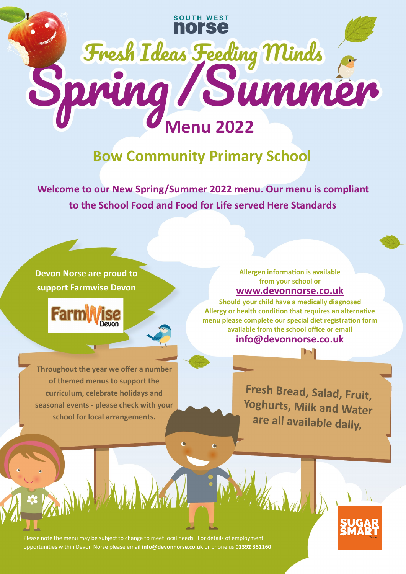

## **Bow Community Primary School**

**Welcome to our New Spring/Summer 2022 menu. Our menu is compliant to the School Food and Food for Life served Here Standards**

## **Devon Norse are proud to support Farmwise Devon**



**Throughout the year we offer a number of themed menus to support the curriculum, celebrate holidays and seasonal events - please check with your school for local arrangements.**

## **[www.devonnorse.co.uk](http://www.norsecatering.co.uk) Allergen information is available from your school or**

**[info@devonnorse.co.uk](http://www.norsecatering.co.uk) Should your child have a medically diagnosed Allergy or health condition that requires an alternative menu please complete our special diet registration form available from the school office or email** 

> Fresh Bread, Salad, Fruit, Yoghurts, Milk and Water are all available daily,

Please note the menu may be subject to change to meet local needs. For details of employment opportunities within Devon Norse please email **info@devonnorse.co.uk** or phone us **01392 351160**.